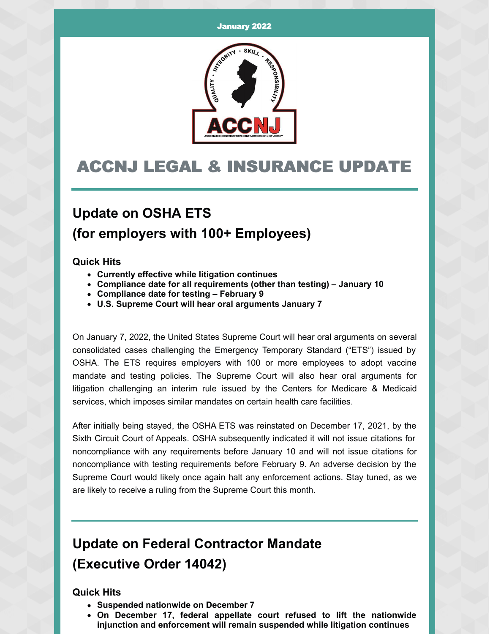

## ACCNJ LEGAL & INSURANCE UPDATE

### **Update on OSHA ETS (for employers with 100+ Employees)**

#### **Quick Hits**

- **Currently effective while litigation continues**
- **Compliance date for all requirements (other than testing) – January 10**
- **Compliance date for testing – February 9**
- **U.S. Supreme Court will hear oral arguments January 7**

On January 7, 2022, the United States Supreme Court will hear oral arguments on several consolidated cases challenging the Emergency Temporary Standard ("ETS") issued by OSHA. The ETS requires employers with 100 or more employees to adopt vaccine mandate and testing policies. The Supreme Court will also hear oral arguments for litigation challenging an interim rule issued by the Centers for Medicare & Medicaid services, which imposes similar mandates on certain health care facilities.

After initially being stayed, the OSHA ETS was reinstated on December 17, 2021, by the Sixth Circuit Court of Appeals. OSHA subsequently indicated it will not issue citations for noncompliance with any requirements before January 10 and will not issue citations for noncompliance with testing requirements before February 9. An adverse decision by the Supreme Court would likely once again halt any enforcement actions. Stay tuned, as we are likely to receive a ruling from the Supreme Court this month.

### **Update on Federal Contractor Mandate (Executive Order 14042)**

#### **Quick Hits**

- **Suspended nationwide on December 7**
- **On December 17, federal appellate court refused to lift the nationwide injunction and enforcement will remain suspended while litigation continues**